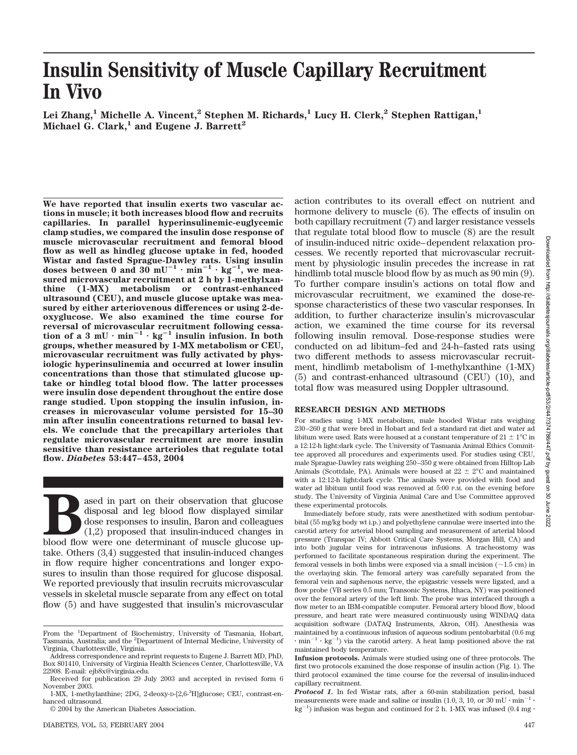# **Insulin Sensitivity of Muscle Capillary Recruitment In Vivo**

Lei Zhang,<sup>1</sup> Michelle A. Vincent,<sup>2</sup> Stephen M. Richards,<sup>1</sup> Lucy H. Clerk,<sup>2</sup> Stephen Rattigan,<sup>1</sup> Michael G. Clark,<sup>1</sup> and Eugene J. Barrett<sup>2</sup>

**We have reported that insulin exerts two vascular actions in muscle; it both increases blood flow and recruits capillaries. In parallel hyperinsulinemic-euglycemic clamp studies, we compared the insulin dose response of muscle microvascular recruitment and femoral blood flow as well as hindleg glucose uptake in fed, hooded Wistar and fasted Sprague-Dawley rats. Using insulin** doses between 0 and 30  $mU^{-1} \cdot min^{-1} \cdot kg^{-1}$ , we mea**sured microvascular recruitment at 2 h by 1-methylxanthine (1-MX) metabolism or contrast-enhanced ultrasound (CEU), and muscle glucose uptake was measured by either arteriovenous differences or using 2-deoxyglucose. We also examined the time course for reversal of microvascular recruitment following cessation of a 3 mU**  $\cdot$  min<sup>-1</sup>  $\cdot$  kg<sup>-1</sup> insulin infusion. In both **groups, whether measured by 1-MX metabolism or CEU, microvascular recruitment was fully activated by physiologic hyperinsulinemia and occurred at lower insulin concentrations than those that stimulated glucose uptake or hindleg total blood flow. The latter processes were insulin dose dependent throughout the entire dose range studied. Upon stopping the insulin infusion, increases in microvascular volume persisted for 15–30 min after insulin concentrations returned to basal levels. We conclude that the precapillary arterioles that regulate microvascular recruitment are more insulin sensitive than resistance arterioles that regulate total flow.** *Diabetes* **53:447–453, 2004**

ased in part on their observation that glucose disposal and leg blood flow displayed similar dose responses to insulin, Baron and colleagues (1,2) proposed that insulin-induced changes in blood flow were one determinant of disposal and leg blood flow displayed similar dose responses to insulin, Baron and colleagues (1,2) proposed that insulin-induced changes in take. Others (3,4) suggested that insulin-induced changes in flow require higher concentrations and longer exposures to insulin than those required for glucose disposal. We reported previously that insulin recruits microvascular vessels in skeletal muscle separate from any effect on total flow (5) and have suggested that insulin's microvascular

© 2004 by the American Diabetes Association.

DIABETES, VOL. 53, FEBRUARY 2004 447

action contributes to its overall effect on nutrient and hormone delivery to muscle (6). The effects of insulin on both capillary recruitment (7) and larger resistance vessels that regulate total blood flow to muscle (8) are the result of insulin-induced nitric oxide–dependent relaxation processes. We recently reported that microvascular recruitment by physiologic insulin precedes the increase in rat hindlimb total muscle blood flow by as much as  $90 \text{ min } (9)$ . To further compare insulin's actions on total flow and microvascular recruitment, we examined the dose-response characteristics of these two vascular responses. In addition, to further characterize insulin's microvascular action, we examined the time course for its reversal following insulin removal. Dose-response studies were conducted on ad libitum–fed and 24-h–fasted rats using two different methods to assess microvascular recruitment, hindlimb metabolism of 1-methylxanthine (1-MX) (5) and contrast-enhanced ultrasound (CEU) (10), and total flow was measured using Doppler ultrasound.

#### **RESEARCH DESIGN AND METHODS**

For studies using 1-MX metabolism, male hooded Wistar rats weighing 230–260 g that were bred in Hobart and fed a standard rat diet and water ad libitum were used. Rats were housed at a constant temperature of  $21 \pm 1^{\circ}$ C in a 12:12-h light:dark cycle. The University of Tasmania Animal Ethics Committee approved all procedures and experiments used. For studies using CEU, male Sprague-Dawley rats weighing 250–350 g were obtained from Hilltop Lab Animals (Scottdale, PA). Animals were housed at  $22 \pm 2^{\circ}$ C and maintained with a 12:12-h light:dark cycle. The animals were provided with food and water ad libitum until food was removed at 5:00 P.M. on the evening before study. The University of Virginia Animal Care and Use Committee approved these experimental protocols.

Immediately before study, rats were anesthetized with sodium pentobarbital (55 mg/kg body wt i.p.) and polyethylene cannulae were inserted into the carotid artery for arterial blood sampling and measurement of arterial blood pressure (Transpac IV; Abbott Critical Care Systems, Morgan Hill, CA) and into both jugular veins for intravenous infusions. A tracheostomy was performed to facilitate spontaneous respiration during the experiment. The femoral vessels in both limbs were exposed via a small incision  $(\sim]1.5 \text{ cm})$  in the overlaying skin. The femoral artery was carefully separated from the femoral vein and saphenous nerve, the epigastric vessels were ligated, and a flow probe (VB series 0.5 mm; Transonic Systems, Ithaca, NY) was positioned over the femoral artery of the left limb. The probe was interfaced through a flow meter to an IBM-compatible computer. Femoral artery blood flow, blood pressure, and heart rate were measured continuously using WINDAQ data acquisition software (DATAQ Instruments, Akron, OH). Anesthesia was maintained by a continuous infusion of aqueous sodium pentobarbital (0.6 mg  $\cdot$  min<sup>-1</sup>  $\cdot$  kg<sup>-1</sup>) via the carotid artery. A heat lamp positioned above the rat maintained body temperature.

From the <sup>1</sup>Department of Biochemistry, University of Tasmania, Hobart, Tasmania, Australia; and the <sup>2</sup>Department of Internal Medicine, University of Virginia, Charlottesville, Virginia.

Address correspondence and reprint requests to Eugene J. Barrett MD, PhD, Box 801410, University of Virginia Health Sciences Center, Charlottesville, VA 22908. E-mail: ejb8x@virginia.edu.

Received for publication 29 July 2003 and accepted in revised form 6 November 2003.

<sup>1-</sup>MX, 1-methylanthine; 2DG, 2-deoxy-D-[2,6-3 H]glucose; CEU, contrast-enhanced ultrasound.

**Infusion protocols.** Animals were studied using one of three protocols. The first two protocols examined the dose response of insulin action (Fig. 1). The third protocol examined the time course for the reversal of insulin-induced capillary recruitment.

*Protocol 1.* In fed Wistar rats, after a 60-min stabilization period, basal measurements were made and saline or insulin (1.0, 3, 10, or 30 mU  $\cdot$   $\rm min^{-1}$   $\cdot$  $kg^{-1}$ ) infusion was begun and continued for 2 h. 1-MX was infused (0.4 mg  $\cdot$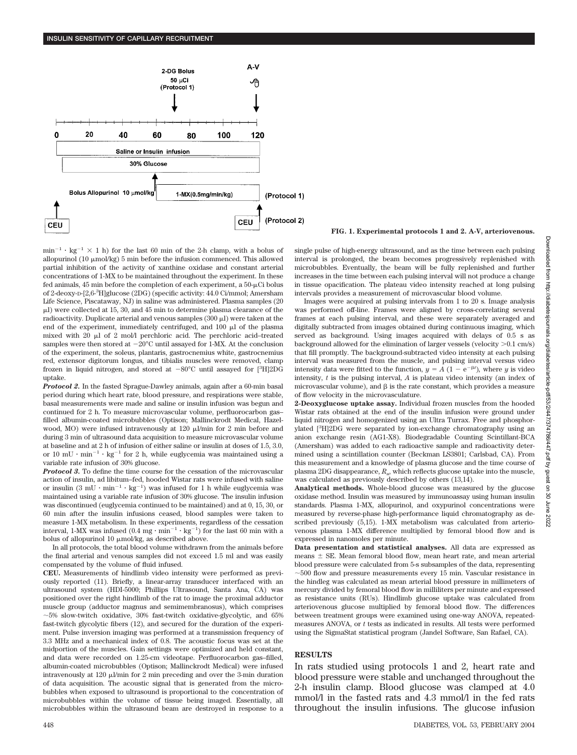

#### **FIG. 1. Experimental protocols 1 and 2. A-V, arteriovenous.**

 $min^{-1}$  · kg<sup>-1</sup> × 1 h) for the last 60 min of the 2-h clamp, with a bolus of allopurinol (10  $\mu$ mol/kg) 5 min before the infusion commenced. This allowed partial inhibition of the activity of xanthine oxidase and constant arterial concentrations of 1-MX to be maintained throughout the experiment. In these fed animals,  $45$  min before the completion of each experiment, a  $50$ - $\mu$ Ci bolus of 2-deoxy-D-[2,6-3 H]glucose (2DG) (specific activity: 44.0 Ci/mmol; Amersham Life Science, Piscataway, NJ) in saline was administered. Plasma samples (20  $\mu$ ]) were collected at 15, 30, and 45 min to determine plasma clearance of the radioactivity. Duplicate arterial and venous samples  $(300 \mu)$  were taken at the end of the experiment, immediately centrifuged, and  $100 \mu$  of the plasma mixed with  $20 \mu l$  of  $2 \text{ mol/l}$  perchloric acid. The perchloric acid-treated samples were then stored at  $-20^{\circ}$ C until assayed for 1-MX. At the conclusion of the experiment, the soleus, plantaris, gastrocnemius white, gastrocnemius red, extensor digitorum longus, and tibialis muscles were removed, clamp frozen in liquid nitrogen, and stored at  $-80^{\circ}\text{C}$  until assayed for  $[^{3}H]2DG$ uptake.

*Protocol 2.* In the fasted Sprague-Dawley animals, again after a 60-min basal period during which heart rate, blood pressure, and respirations were stable, basal measurements were made and saline or insulin infusion was begun and continued for 2 h. To measure microvascular volume, perfluorocarbon gas– filled albumin-coated microbubbles (Optison; Mallinckrodt Medical, Hazelwood,  $MO$ ) were infused intravenously at 120  $\mu$ *l*/min for 2 min before and during 3 min of ultrasound data acquisition to measure microvascular volume at baseline and at 2 h of infusion of either saline or insulin at doses of 1.5, 3.0, or 10 mU $\cdot$  min<sup>-1</sup> $\cdot$  kg<sup>-1</sup> for 2 h, while euglycemia was maintained using a variable rate infusion of 30% glucose.

*Protocol 3.* To define the time course for the cessation of the microvascular action of insulin, ad libitum–fed, hooded Wistar rats were infused with saline or insulin  $(3 \text{ mU} \cdot \text{min}^{-1} \cdot \text{kg}^{-1})$  was infused for 1 h while euglycemia was maintained using a variable rate infusion of 30% glucose. The insulin infusion was discontinued (euglycemia continued to be maintained) and at 0, 15, 30, or 60 min after the insulin infusions ceased, blood samples were taken to measure 1-MX metabolism. In these experiments, regardless of the cessation interval, 1-MX was infused  $(0.4 \text{ mg} \cdot \text{min}^{-1} \cdot \text{kg}^{-1})$  for the last 60 min with a bolus of allopurinol 10  $\mu$ mol/kg, as described above.

In all protocols, the total blood volume withdrawn from the animals before the final arterial and venous samples did not exceed 1.5 ml and was easily compensated by the volume of fluid infused.

**CEU.** Measurements of hindlimb video intensity were performed as previously reported (11). Briefly, a linear-array transducer interfaced with an ultrasound system (HDI-5000; Phillips Ultrasound, Santa Ana, CA) was positioned over the right hindlimb of the rat to image the proximal adductor muscle group (adductor magnus and semimembranosus), which comprises -5% slow-twitch oxidative, 30% fast-twitch oxidative-glycolytic, and 65% fast-twitch glycolytic fibers (12), and secured for the duration of the experiment. Pulse inversion imaging was performed at a transmission frequency of 3.3 MHz and a mechanical index of 0.8. The acoustic focus was set at the midportion of the muscles. Gain settings were optimized and held constant, and data were recorded on 1.25-cm videotape. Perfluorocarbon gas–filled, albumin-coated microbubbles (Optison; Mallinckrodt Medical) were infused intravenously at 120  $\mu$ *l*/min for 2 min preceding and over the 3-min duration of data acquisition. The acoustic signal that is generated from the microbubbles when exposed to ultrasound is proportional to the concentration of microbubbles within the volume of tissue being imaged. Essentially, all microbubbles within the ultrasound beam are destroyed in response to a

single pulse of high-energy ultrasound, and as the time between each pulsing interval is prolonged, the beam becomes progressively replenished with microbubbles. Eventually, the beam will be fully replenished and further increases in the time between each pulsing interval will not produce a change in tissue opacification. The plateau video intensity reached at long pulsing intervals provides a measurement of microvascular blood volume.

Images were acquired at pulsing intervals from 1 to 20 s. Image analysis was performed off-line. Frames were aligned by cross-correlating several frames at each pulsing interval, and these were separately averaged and digitally subtracted from images obtained during continuous imaging, which served as background. Using images acquired with delays of 0.5 s as background allowed for the elimination of larger vessels (velocity  $\rm {> 0.1~cm/s})$ that fill promptly. The background-subtracted video intensity at each pulsing interval was measured from the muscle, and pulsing interval versus video intensity data were fitted to the function,  $y = A(1 - e^{-\beta t})$ , where *y* is video intensity, *t* is the pulsing interval, *A* is plateau video intensity (an index of microvascular volume), and  $\beta$  is the rate constant, which provides a measure of flow velocity in the microvasculature.

**2-Deoxyglucose uptake assay.** Individual frozen muscles from the hooded Wistar rats obtained at the end of the insulin infusion were ground under liquid nitrogen and homogenized using an Ultra Turrax. Free and phosphorylated [3 H]2DG were separated by ion-exchange chromatography using an anion exchange resin (AG1-X8). Biodegradable Counting Scintillant-BCA (Amersham) was added to each radioactive sample and radioactivity determined using a scintillation counter (Beckman LS3801; Carlsbad, CA). From this measurement and a knowledge of plasma glucose and the time course of plasma 2DG disappearance,  $R_a$ , which reflects glucose uptake into the muscle, was calculated as previously described by others (13,14).

**Analytical methods.** Whole-blood glucose was measured by the glucose oxidase method. Insulin was measured by immunoassay using human insulin standards. Plasma 1-MX, allopurinol, and oxypurinol concentrations were measured by reverse-phase high-performance liquid chromatography as described previously (5,15). 1-MX metabolism was calculated from arteriovenous plasma 1-MX difference multiplied by femoral blood flow and is expressed in nanomoles per minute.

**Data presentation and statistical analyses.** All data are expressed as means  $\pm$  SE. Mean femoral blood flow, mean heart rate, and mean arterial blood pressure were calculated from 5-s subsamples of the data, representing  $\sim$  500 flow and pressure measurements every 15 min. Vascular resistance in the hindleg was calculated as mean arterial blood pressure in millimeters of mercury divided by femoral blood flow in milliliters per minute and expressed as resistance units (RUs). Hindlimb glucose uptake was calculated from arteriovenous glucose multiplied by femoral blood flow. The differences between treatment groups were examined using one-way ANOVA, repeatedmeasures ANOVA, or *t* tests as indicated in results. All tests were performed using the SigmaStat statistical program (Jandel Software, San Rafael, CA).

#### **RESULTS**

In rats studied using protocols 1 and 2, heart rate and blood pressure were stable and unchanged throughout the 2-h insulin clamp. Blood glucose was clamped at 4.0 mmol/l in the fasted rats and 4.3 mmol/l in the fed rats throughout the insulin infusions. The glucose infusion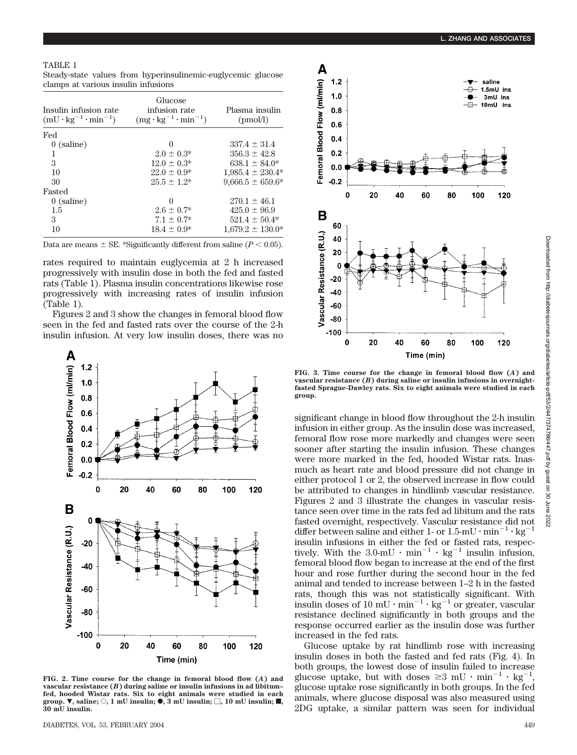Steady-state values from hyperinsulinemic-euglycemic glucose clamps at various insulin infusions

| Insulin infusion rate<br>$(mU \cdot kg^{-1} \cdot min^{-1})$ | Glucose<br>infusion rate<br>$(mg \cdot kg^{-1} \cdot min^{-1})$ | Plasma insulin<br>(pmol/l) |
|--------------------------------------------------------------|-----------------------------------------------------------------|----------------------------|
| Fed                                                          |                                                                 |                            |
| $0$ (saline)                                                 |                                                                 | $337.4 \pm 31.4$           |
|                                                              | $2.0 \pm 0.3^*$                                                 | $356.3 \pm 42.8$           |
| 3                                                            | $12.0 \pm 0.3^*$                                                | $638.1 \pm 84.0^*$         |
| 10                                                           | $22.0 \pm 0.9*$                                                 | $1,985.4 \pm 230.4^*$      |
| 30                                                           | $25.5 + 1.2*$                                                   | $9,666.5 \pm 659.6^*$      |
| Fasted                                                       |                                                                 |                            |
| $0$ (saline)                                                 | $\theta$                                                        | $270.1 \pm 46.1$           |
| 1.5                                                          | $2.6 \pm 0.7*$                                                  | $425.0 \pm 96.9$           |
| 3                                                            | $7.1 \pm 0.7^*$                                                 | $521.4 \pm 50.4*$          |
| 10                                                           | $18.4 \pm 0.9^*$                                                | $1,679.2 \pm 130.0*$       |

Data are means  $\pm$  SE. \*Significantly different from saline ( $P \le 0.05$ ).

rates required to maintain euglycemia at 2 h increased progressively with insulin dose in both the fed and fasted rats (Table 1). Plasma insulin concentrations likewise rose progressively with increasing rates of insulin infusion (Table 1).

Figures 2 and 3 show the changes in femoral blood flow seen in the fed and fasted rats over the course of the 2-h insulin infusion. At very low insulin doses, there was no



**FIG. 2. Time course for the change in femoral blood flow (***A***) and vascular resistance (***B***) during saline or insulin infusions in ad libitum– fed, hooded Wistar rats. Six to eight animals were studied in each**  $\mathbf{g}$ roup.  $\blacktriangledown$ , saline;  $\bigcirc$ , 1 mU insulin;  $\mathbf{0}$ , 3 mU insulin;  $\Box$ , 10 mU insulin;  $\blacksquare$ , **30 mU insulin.**



**FIG. 3. Time course for the change in femoral blood flow (***A***) and vascular resistance (***B***) during saline or insulin infusions in overnightfasted Sprague-Dawley rats. Six to eight animals were studied in each group.**

significant change in blood flow throughout the 2-h insulin infusion in either group. As the insulin dose was increased, femoral flow rose more markedly and changes were seen sooner after starting the insulin infusion. These changes were more marked in the fed, hooded Wistar rats. Inasmuch as heart rate and blood pressure did not change in either protocol 1 or 2, the observed increase in flow could be attributed to changes in hindlimb vascular resistance. Figures 2 and 3 illustrate the changes in vascular resistance seen over time in the rats fed ad libitum and the rats fasted overnight, respectively. Vascular resistance did not differ between saline and either 1- or  $1.5 \text{ mU} \cdot \text{min}^{-1} \cdot \text{kg}^{-1}$ insulin infusions in either the fed or fasted rats, respectively. With the  $3.0 \text{-mU} \cdot \text{min}^{-1} \cdot \text{kg}^{-1}$  insulin infusion, femoral blood flow began to increase at the end of the first hour and rose further during the second hour in the fed animal and tended to increase between 1–2 h in the fasted rats, though this was not statistically significant. With insulin doses of 10 mU  $\cdot$  min<sup>-1</sup>  $\cdot$  kg<sup>-1</sup> or greater, vascular resistance declined significantly in both groups and the response occurred earlier as the insulin dose was further increased in the fed rats.

Glucose uptake by rat hindlimb rose with increasing insulin doses in both the fasted and fed rats (Fig. 4). In both groups, the lowest dose of insulin failed to increase glucose uptake, but with doses  $\geq 3$  mU  $\cdot$  min<sup>-1</sup>  $\cdot$  kg<sup>-1</sup>, glucose uptake rose significantly in both groups. In the fed animals, where glucose disposal was also measured using 2DG uptake, a similar pattern was seen for individual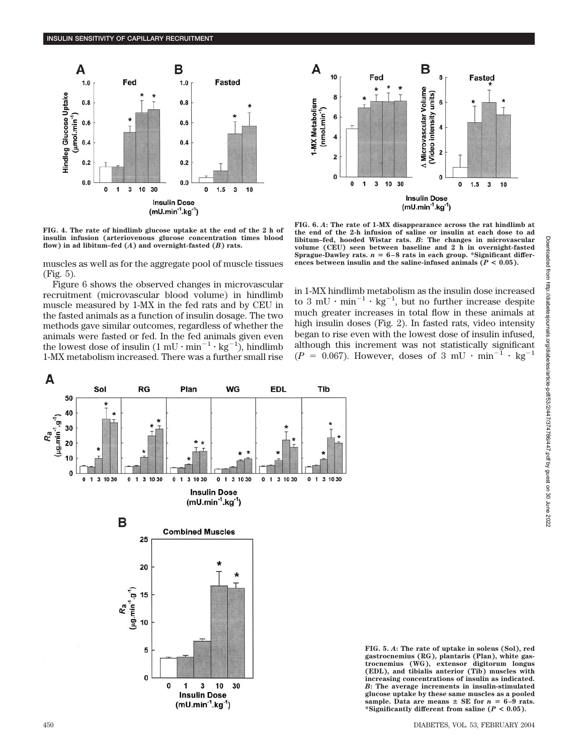



**FIG. 4. The rate of hindlimb glucose uptake at the end of the 2 h of insulin infusion (arteriovenous glucose concentration times blood flow) in ad libitum–fed (***A***) and overnight-fasted (***B***) rats.**

muscles as well as for the aggregate pool of muscle tissues (Fig. 5).

Figure 6 shows the observed changes in microvascular recruitment (microvascular blood volume) in hindlimb muscle measured by 1-MX in the fed rats and by CEU in the fasted animals as a function of insulin dosage. The two methods gave similar outcomes, regardless of whether the animals were fasted or fed. In the fed animals given even the lowest dose of insulin  $(1 \text{ mU} \cdot \text{min}^{-1} \cdot \text{kg}^{-1})$ , hindlimb 1-MX metabolism increased. There was a further small rise

**FIG. 6.** *A***: The rate of 1-MX disappearance across the rat hindlimb at the end of the 2-h infusion of saline or insulin at each dose to ad libitum–fed, hooded Wistar rats.** *B***: The changes in microvascular volume (CEU) seen between baseline and 2 h in overnight-fasted** Sprague-Dawley rats.  $n = 6-8$  rats in each group. \*Significant differ**ences between insulin and the saline-infused animals (***P* **< 0.05).**

in 1-MX hindlimb metabolism as the insulin dose increased to 3 mU  $\cdot$  min<sup>-1</sup>  $\cdot$  kg<sup>-1</sup>, but no further increase despite much greater increases in total flow in these animals at high insulin doses (Fig. 2). In fasted rats, video intensity began to rise even with the lowest dose of insulin infused, although this increment was not statistically significant  $(P = 0.067)$ . However, doses of 3 mU  $\cdot$  min<sup>-1</sup>  $\cdot$  kg<sup>-1</sup>

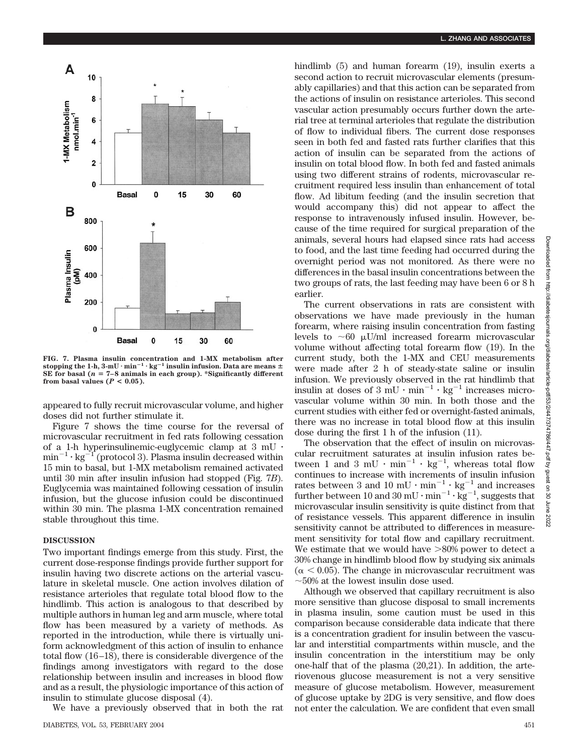

**FIG. 7. Plasma insulin concentration and 1-MX metabolism after**  $\text{stopping the 1-h, 3-mU}\cdot\text{min}^{-1}\cdot\text{kg}^{-1}$  insulin infusion. Data are means  $\pm$ **SE** for basal ( $n = 7-8$  animals in each group). \*Significantly different from basal values  $(P < 0.05)$ .

appeared to fully recruit microvascular volume, and higher doses did not further stimulate it.

Figure 7 shows the time course for the reversal of microvascular recruitment in fed rats following cessation of a 1-h hyperinsulinemic-euglycemic clamp at 3 mU  $min^{-1}$  · kg<sup>-1</sup> (protocol 3). Plasma insulin decreased within 15 min to basal, but 1-MX metabolism remained activated until 30 min after insulin infusion had stopped (Fig. 7*B*). Euglycemia was maintained following cessation of insulin infusion, but the glucose infusion could be discontinued within 30 min. The plasma 1-MX concentration remained stable throughout this time.

#### **DISCUSSION**

Two important findings emerge from this study. First, the current dose-response findings provide further support for insulin having two discrete actions on the arterial vasculature in skeletal muscle. One action involves dilation of resistance arterioles that regulate total blood flow to the hindlimb. This action is analogous to that described by multiple authors in human leg and arm muscle, where total flow has been measured by a variety of methods. As reported in the introduction, while there is virtually uniform acknowledgment of this action of insulin to enhance total flow (16–18), there is considerable divergence of the findings among investigators with regard to the dose relationship between insulin and increases in blood flow and as a result, the physiologic importance of this action of insulin to stimulate glucose disposal (4).

We have a previously observed that in both the rat

hindlimb (5) and human forearm (19), insulin exerts a second action to recruit microvascular elements (presumably capillaries) and that this action can be separated from the actions of insulin on resistance arterioles. This second vascular action presumably occurs further down the arterial tree at terminal arterioles that regulate the distribution of flow to individual fibers. The current dose responses seen in both fed and fasted rats further clarifies that this action of insulin can be separated from the actions of insulin on total blood flow. In both fed and fasted animals using two different strains of rodents, microvascular recruitment required less insulin than enhancement of total flow. Ad libitum feeding (and the insulin secretion that would accompany this) did not appear to affect the response to intravenously infused insulin. However, because of the time required for surgical preparation of the animals, several hours had elapsed since rats had access to food, and the last time feeding had occurred during the overnight period was not monitored. As there were no differences in the basal insulin concentrations between the two groups of rats, the last feeding may have been 6 or 8 h earlier.

The current observations in rats are consistent with observations we have made previously in the human forearm, where raising insulin concentration from fasting levels to  ${\sim}60$   $\mu$ U/ml increased forearm microvascular volume without affecting total forearm flow (19). In the current study, both the 1-MX and CEU measurements were made after 2 h of steady-state saline or insulin infusion. We previously observed in the rat hindlimb that insulin at doses of  $3 \text{ mU} \cdot \text{min}^{-1} \cdot \text{kg}^{-1}$  increases microvascular volume within 30 min. In both those and the current studies with either fed or overnight-fasted animals, there was no increase in total blood flow at this insulin dose during the first 1 h of the infusion (11).

The observation that the effect of insulin on microvascular recruitment saturates at insulin infusion rates between 1 and 3 mU  $\cdot$  min<sup>-1</sup>  $\cdot$  kg<sup>-1</sup>, whereas total flow continues to increase with increments of insulin infusion rates between 3 and 10  $\text{mU}\cdot \text{min}^{-1}\cdot \text{kg}^{-1}$  and increases further between 10 and 30 mU $\cdot$  min<sup>-1</sup> $\cdot$  kg<sup>-1</sup>, suggests that microvascular insulin sensitivity is quite distinct from that of resistance vessels. This apparent difference in insulin sensitivity cannot be attributed to differences in measurement sensitivity for total flow and capillary recruitment. We estimate that we would have  $>80\%$  power to detect a 30% change in hindlimb blood flow by studying six animals  $(\alpha < 0.05)$ . The change in microvascular recruitment was  $\sim$  50% at the lowest insulin dose used.

Although we observed that capillary recruitment is also more sensitive than glucose disposal to small increments in plasma insulin, some caution must be used in this comparison because considerable data indicate that there is a concentration gradient for insulin between the vascular and interstitial compartments within muscle, and the insulin concentration in the interstitium may be only one-half that of the plasma (20,21). In addition, the arteriovenous glucose measurement is not a very sensitive measure of glucose metabolism. However, measurement of glucose uptake by 2DG is very sensitive, and flow does not enter the calculation. We are confident that even small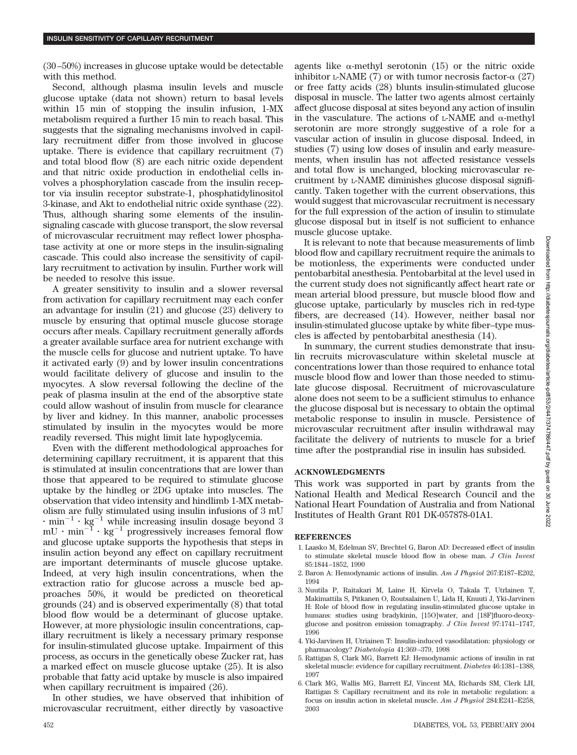(30–50%) increases in glucose uptake would be detectable with this method.

Second, although plasma insulin levels and muscle glucose uptake (data not shown) return to basal levels within 15 min of stopping the insulin infusion, 1-MX metabolism required a further 15 min to reach basal. This suggests that the signaling mechanisms involved in capillary recruitment differ from those involved in glucose uptake. There is evidence that capillary recruitment (7) and total blood flow (8) are each nitric oxide dependent and that nitric oxide production in endothelial cells involves a phosphorylation cascade from the insulin receptor via insulin receptor substrate-1, phosphatidylinositol 3-kinase, and Akt to endothelial nitric oxide synthase (22). Thus, although sharing some elements of the insulinsignaling cascade with glucose transport, the slow reversal of microvascular recruitment may reflect lower phosphatase activity at one or more steps in the insulin-signaling cascade. This could also increase the sensitivity of capillary recruitment to activation by insulin. Further work will be needed to resolve this issue.

A greater sensitivity to insulin and a slower reversal from activation for capillary recruitment may each confer an advantage for insulin (21) and glucose (23) delivery to muscle by ensuring that optimal muscle glucose storage occurs after meals. Capillary recruitment generally affords a greater available surface area for nutrient exchange with the muscle cells for glucose and nutrient uptake. To have it activated early (9) and by lower insulin concentrations would facilitate delivery of glucose and insulin to the myocytes. A slow reversal following the decline of the peak of plasma insulin at the end of the absorptive state could allow washout of insulin from muscle for clearance by liver and kidney. In this manner, anabolic processes stimulated by insulin in the myocytes would be more readily reversed. This might limit late hypoglycemia.

Even with the different methodological approaches for determining capillary recruitment, it is apparent that this is stimulated at insulin concentrations that are lower than those that appeared to be required to stimulate glucose uptake by the hindleg or 2DG uptake into muscles. The observation that video intensity and hindlimb 1-MX metabolism are fully stimulated using insulin infusions of 3 mU  $\cdot$  min<sup>-1</sup>  $\cdot$  kg<sup>-1</sup> while increasing insulin dosage beyond 3  $mU \cdot min^{-1} \cdot kg^{-1}$  progressively increases femoral flow and glucose uptake supports the hypothesis that steps in insulin action beyond any effect on capillary recruitment are important determinants of muscle glucose uptake. Indeed, at very high insulin concentrations, when the extraction ratio for glucose across a muscle bed approaches 50%, it would be predicted on theoretical grounds (24) and is observed experimentally (8) that total blood flow would be a determinant of glucose uptake. However, at more physiologic insulin concentrations, capillary recruitment is likely a necessary primary response for insulin-stimulated glucose uptake. Impairment of this process, as occurs in the genetically obese Zucker rat, has a marked effect on muscle glucose uptake (25). It is also probable that fatty acid uptake by muscle is also impaired when capillary recruitment is impaired (26).

In other studies, we have observed that inhibition of microvascular recruitment, either directly by vasoactive

agents like  $\alpha$ -methyl serotonin (15) or the nitric oxide inhibitor  $L$ -NAME (7) or with tumor necrosis factor- $\alpha$  (27) or free fatty acids (28) blunts insulin-stimulated glucose disposal in muscle. The latter two agents almost certainly affect glucose disposal at sites beyond any action of insulin in the vasculature. The actions of L-NAME and  $\alpha$ -methyl serotonin are more strongly suggestive of a role for a vascular action of insulin in glucose disposal. Indeed, in studies (7) using low doses of insulin and early measurements, when insulin has not affected resistance vessels and total flow is unchanged, blocking microvascular recruitment by L-NAME diminishes glucose disposal significantly. Taken together with the current observations, this would suggest that microvascular recruitment is necessary for the full expression of the action of insulin to stimulate glucose disposal but in itself is not sufficient to enhance muscle glucose uptake.

It is relevant to note that because measurements of limb blood flow and capillary recruitment require the animals to be motionless, the experiments were conducted under pentobarbital anesthesia. Pentobarbital at the level used in the current study does not significantly affect heart rate or mean arterial blood pressure, but muscle blood flow and glucose uptake, particularly by muscles rich in red-type fibers, are decreased (14). However, neither basal nor insulin-stimulated glucose uptake by white fiber–type muscles is affected by pentobarbital anesthesia (14).

In summary, the current studies demonstrate that insulin recruits microvasculature within skeletal muscle at concentrations lower than those required to enhance total muscle blood flow and lower than those needed to stimulate glucose disposal. Recruitment of microvasculature alone does not seem to be a sufficient stimulus to enhance the glucose disposal but is necessary to obtain the optimal metabolic response to insulin in muscle. Persistence of microvascular recruitment after insulin withdrawal may facilitate the delivery of nutrients to muscle for a brief time after the postprandial rise in insulin has subsided.

## **ACKNOWLEDGMENTS**

This work was supported in part by grants from the National Health and Medical Research Council and the National Heart Foundation of Australia and from National Institutes of Health Grant R01 DK-057878-01A1.

### **REFERENCES**

- 1. Laasko M, Edelman SV, Brechtel G, Baron AD: Decreased effect of insulin to stimulate skeletal muscle blood flow in obese man. *J Clin Invest* 85:1844–1852, 1990
- 2. Baron A: Hemodynamic actions of insulin. *Am J Physiol* 267:E187–E202, 1994
- 3. Nuutila P, Raitakari M, Laine H, Kirvela O, Takala T, Utrlainen T, Makimattila S, Pitkanen O, Routsalainen U, Lida H, Knuuti J, Yki-Jarvinen H: Role of blood flow in regulating insulin-stimulated glucose uptake in humans: studies using bradykinin, [15O]water, and [18F]fluoro-deoxyglucose and positron emission tomagraphy. *J Clin Invest* 97:1741–1747, 1996
- 4. Yki-Jarvinen H, Utriainen T: Insulin-induced vasodilatation: physiology or pharmacology? *Diabetologia* 41:369–379, 1998
- 5. Rattigan S, Clark MG, Barrett EJ: Hemodynamic actions of insulin in rat skeletal muscle: evidence for capillary recruitment. *Diabetes* 46:1381–1388, 1997
- 6. Clark MG, Wallis MG, Barrett EJ, Vincent MA, Richards SM, Clerk LH, Rattigan S: Capillary recruitment and its role in metabolic regulation: a focus on insulin action in skeletal muscle. *Am J Physiol* 284:E241–E258, 2003